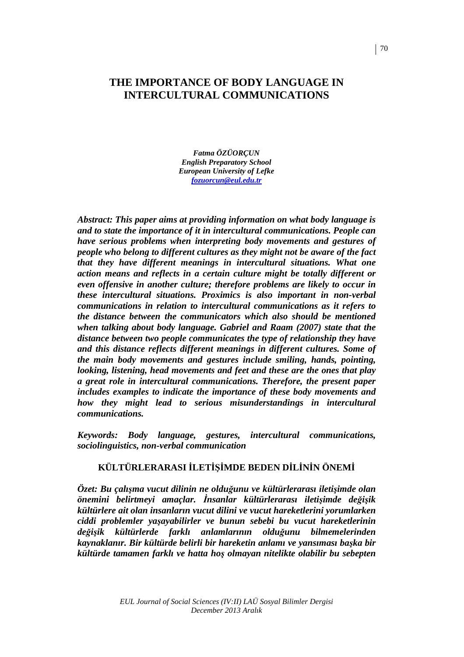# **THE IMPORTANCE OF BODY LANGUAGE IN INTERCULTURAL COMMUNICATIONS**

*Fatma ÖZÜORÇUN English Preparatory School European University of Lefke fozuorcun@eul.edu.tr*

*Abstract: This paper aims at providing information on what body language is and to state the importance of it in intercultural communications. People can have serious problems when interpreting body movements and gestures of people who belong to different cultures as they might not be aware of the fact that they have different meanings in intercultural situations. What one action means and reflects in a certain culture might be totally different or even offensive in another culture; therefore problems are likely to occur in these intercultural situations. Proximics is also important in non-verbal communications in relation to intercultural communications as it refers to the distance between the communicators which also should be mentioned when talking about body language. Gabriel and Raam (2007) state that the distance between two people communicates the type of relationship they have and this distance reflects different meanings in different cultures. Some of the main body movements and gestures include smiling, hands, pointing, looking, listening, head movements and feet and these are the ones that play a great role in intercultural communications. Therefore, the present paper includes examples to indicate the importance of these body movements and*  how they might lead to serious misunderstandings in intercultural *communications.* 

*Keywords: Body language, gestures, intercultural communications, sociolinguistics, non-verbal communication* 

## **KÜLTÜRLERARASI İLETİSİMDE BEDEN DİLİNİN ÖNEMİ**

*Özet: Bu çalışma vucut dilinin ne olduğunu ve kültürlerarası iletişimde olan önemini belirtmeyi amaçlar. Đnsanlar kültürlerarası iletişimde değişik kültürlere ait olan insanların vucut dilini ve vucut hareketlerini yorumlarken ciddi problemler yaşayabilirler ve bunun sebebi bu vucut hareketlerinin değişik kültürlerde farklı anlamlarının olduğunu bilmemelerinden kaynaklanır. Bir kültürde belirli bir hareketin anlamı ve yansıması başka bir kültürde tamamen farklı ve hatta hoş olmayan nitelikte olabilir bu sebepten*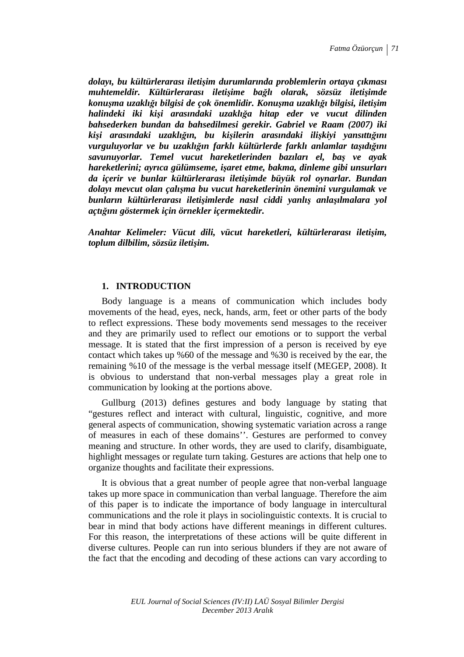*dolayı, bu kültürlerarası iletişim durumlarında problemlerin ortaya çıkması muhtemeldir. Kültürlerarası iletişime bağlı olarak, sözsüz iletişimde konuşma uzaklığı bilgisi de çok önemlidir. Konuşma uzaklığı bilgisi, iletişim halindeki iki kişi arasındaki uzaklığa hitap eder ve vucut dilinden bahsederken bundan da bahsedilmesi gerekir. Gabriel ve Raam (2007) iki kişi arasındaki uzaklığın, bu kişilerin arasındaki ilişkiyi yansıttığını vurguluyorlar ve bu uzaklığın farklı kültürlerde farklı anlamlar taşıdığını savunuyorlar. Temel vucut hareketlerinden bazıları el, baş ve ayak hareketlerini; ayrıca gülümseme, işaret etme, bakma, dinleme gibi unsurları da içerir ve bunlar kültürlerarası iletişimde büyük rol oynarlar. Bundan dolayı mevcut olan çalışma bu vucut hareketlerinin önemini vurgulamak ve bunların kültürlerarası iletişimlerde nasıl ciddi yanlış anlaşılmalara yol açtığını göstermek için örnekler içermektedir.* 

*Anahtar Kelimeler: Vücut dili, vücut hareketleri, kültürlerarası iletişim, toplum dilbilim, sözsüz iletişim.* 

## **1. INTRODUCTION**

Body language is a means of communication which includes body movements of the head, eyes, neck, hands, arm, feet or other parts of the body to reflect expressions. These body movements send messages to the receiver and they are primarily used to reflect our emotions or to support the verbal message. It is stated that the first impression of a person is received by eye contact which takes up %60 of the message and %30 is received by the ear, the remaining %10 of the message is the verbal message itself (MEGEP, 2008). It is obvious to understand that non-verbal messages play a great role in communication by looking at the portions above.

Gullburg (2013) defines gestures and body language by stating that "gestures reflect and interact with cultural, linguistic, cognitive, and more general aspects of communication, showing systematic variation across a range of measures in each of these domains''. Gestures are performed to convey meaning and structure. In other words, they are used to clarify, disambiguate, highlight messages or regulate turn taking. Gestures are actions that help one to organize thoughts and facilitate their expressions.

It is obvious that a great number of people agree that non-verbal language takes up more space in communication than verbal language. Therefore the aim of this paper is to indicate the importance of body language in intercultural communications and the role it plays in sociolinguistic contexts. It is crucial to bear in mind that body actions have different meanings in different cultures. For this reason, the interpretations of these actions will be quite different in diverse cultures. People can run into serious blunders if they are not aware of the fact that the encoding and decoding of these actions can vary according to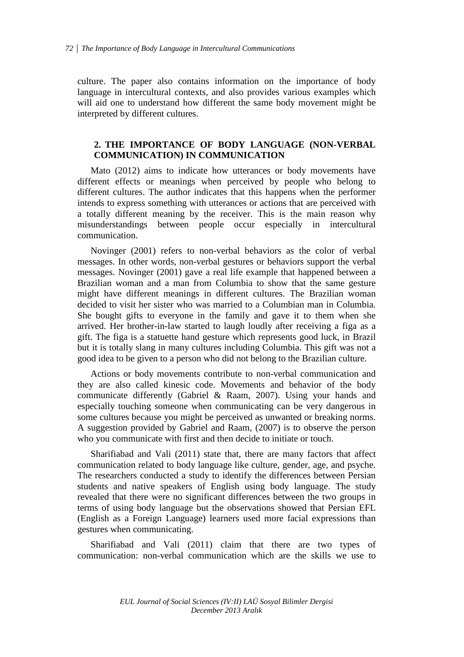culture. The paper also contains information on the importance of body language in intercultural contexts, and also provides various examples which will aid one to understand how different the same body movement might be interpreted by different cultures.

## **2. THE IMPORTANCE OF BODY LANGUAGE (NON-VERBAL COMMUNICATION) IN COMMUNICATION**

Mato (2012) aims to indicate how utterances or body movements have different effects or meanings when perceived by people who belong to different cultures. The author indicates that this happens when the performer intends to express something with utterances or actions that are perceived with a totally different meaning by the receiver. This is the main reason why misunderstandings between people occur especially in intercultural communication.

Novinger (2001) refers to non-verbal behaviors as the color of verbal messages. In other words, non-verbal gestures or behaviors support the verbal messages. Novinger (2001) gave a real life example that happened between a Brazilian woman and a man from Columbia to show that the same gesture might have different meanings in different cultures. The Brazilian woman decided to visit her sister who was married to a Columbian man in Columbia. She bought gifts to everyone in the family and gave it to them when she arrived. Her brother-in-law started to laugh loudly after receiving a figa as a gift. The figa is a statuette hand gesture which represents good luck, in Brazil but it is totally slang in many cultures including Columbia. This gift was not a good idea to be given to a person who did not belong to the Brazilian culture.

Actions or body movements contribute to non-verbal communication and they are also called kinesic code. Movements and behavior of the body communicate differently (Gabriel & Raam, 2007). Using your hands and especially touching someone when communicating can be very dangerous in some cultures because you might be perceived as unwanted or breaking norms. A suggestion provided by Gabriel and Raam, (2007) is to observe the person who you communicate with first and then decide to initiate or touch.

Sharifiabad and Vali (2011) state that, there are many factors that affect communication related to body language like culture, gender, age, and psyche. The researchers conducted a study to identify the differences between Persian students and native speakers of English using body language. The study revealed that there were no significant differences between the two groups in terms of using body language but the observations showed that Persian EFL (English as a Foreign Language) learners used more facial expressions than gestures when communicating.

Sharifiabad and Vali (2011) claim that there are two types of communication: non-verbal communication which are the skills we use to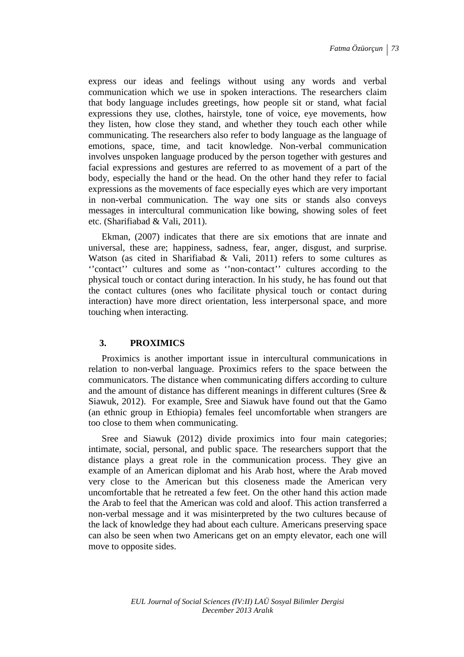express our ideas and feelings without using any words and verbal communication which we use in spoken interactions. The researchers claim that body language includes greetings, how people sit or stand, what facial expressions they use, clothes, hairstyle, tone of voice, eye movements, how they listen, how close they stand, and whether they touch each other while communicating. The researchers also refer to body language as the language of emotions, space, time, and tacit knowledge. Non-verbal communication involves unspoken language produced by the person together with gestures and facial expressions and gestures are referred to as movement of a part of the body, especially the hand or the head. On the other hand they refer to facial expressions as the movements of face especially eyes which are very important in non-verbal communication. The way one sits or stands also conveys messages in intercultural communication like bowing, showing soles of feet etc. (Sharifiabad & Vali, 2011).

Ekman, (2007) indicates that there are six emotions that are innate and universal, these are; happiness, sadness, fear, anger, disgust, and surprise. Watson (as cited in Sharifiabad & Vali, 2011) refers to some cultures as ''contact'' cultures and some as ''non-contact'' cultures according to the physical touch or contact during interaction. In his study, he has found out that the contact cultures (ones who facilitate physical touch or contact during interaction) have more direct orientation, less interpersonal space, and more touching when interacting.

## **3. PROXIMICS**

Proximics is another important issue in intercultural communications in relation to non-verbal language. Proximics refers to the space between the communicators. The distance when communicating differs according to culture and the amount of distance has different meanings in different cultures (Sree & Siawuk, 2012). For example, Sree and Siawuk have found out that the Gamo (an ethnic group in Ethiopia) females feel uncomfortable when strangers are too close to them when communicating.

Sree and Siawuk (2012) divide proximics into four main categories; intimate, social, personal, and public space. The researchers support that the distance plays a great role in the communication process. They give an example of an American diplomat and his Arab host, where the Arab moved very close to the American but this closeness made the American very uncomfortable that he retreated a few feet. On the other hand this action made the Arab to feel that the American was cold and aloof. This action transferred a non-verbal message and it was misinterpreted by the two cultures because of the lack of knowledge they had about each culture. Americans preserving space can also be seen when two Americans get on an empty elevator, each one will move to opposite sides.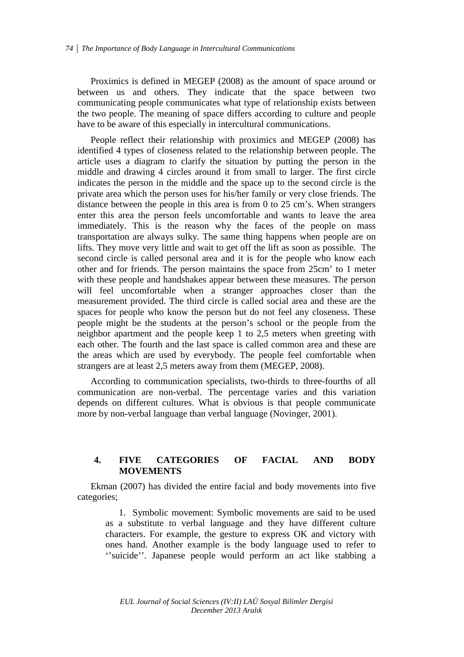Proximics is defined in MEGEP (2008) as the amount of space around or between us and others. They indicate that the space between two communicating people communicates what type of relationship exists between the two people. The meaning of space differs according to culture and people have to be aware of this especially in intercultural communications.

People reflect their relationship with proximics and MEGEP (2008) has identified 4 types of closeness related to the relationship between people. The article uses a diagram to clarify the situation by putting the person in the middle and drawing 4 circles around it from small to larger. The first circle indicates the person in the middle and the space up to the second circle is the private area which the person uses for his/her family or very close friends. The distance between the people in this area is from 0 to 25 cm's. When strangers enter this area the person feels uncomfortable and wants to leave the area immediately. This is the reason why the faces of the people on mass transportation are always sulky. The same thing happens when people are on lifts. They move very little and wait to get off the lift as soon as possible. The second circle is called personal area and it is for the people who know each other and for friends. The person maintains the space from 25cm' to 1 meter with these people and handshakes appear between these measures. The person will feel uncomfortable when a stranger approaches closer than the measurement provided. The third circle is called social area and these are the spaces for people who know the person but do not feel any closeness. These people might be the students at the person's school or the people from the neighbor apartment and the people keep 1 to 2,5 meters when greeting with each other. The fourth and the last space is called common area and these are the areas which are used by everybody. The people feel comfortable when strangers are at least 2,5 meters away from them (MEGEP, 2008).

According to communication specialists, two-thirds to three-fourths of all communication are non-verbal. The percentage varies and this variation depends on different cultures. What is obvious is that people communicate more by non-verbal language than verbal language (Novinger, 2001).

## **4. FIVE CATEGORIES OF FACIAL AND BODY MOVEMENTS**

Ekman (2007) has divided the entire facial and body movements into five categories;

1. Symbolic movement: Symbolic movements are said to be used as a substitute to verbal language and they have different culture characters. For example, the gesture to express OK and victory with ones hand. Another example is the body language used to refer to ''suicide''. Japanese people would perform an act like stabbing a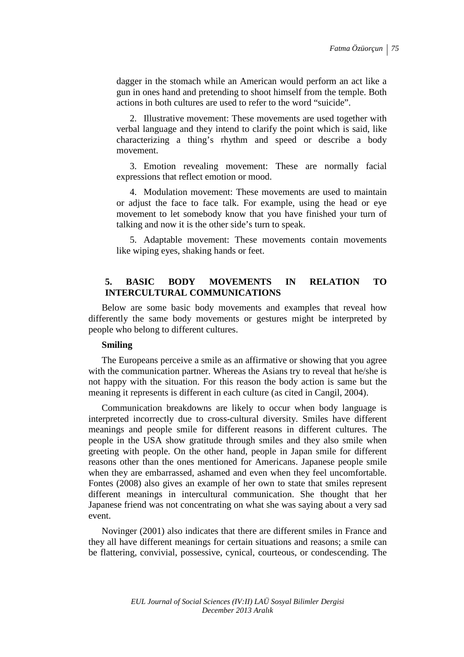dagger in the stomach while an American would perform an act like a gun in ones hand and pretending to shoot himself from the temple. Both actions in both cultures are used to refer to the word "suicide".

2. Illustrative movement: These movements are used together with verbal language and they intend to clarify the point which is said, like characterizing a thing's rhythm and speed or describe a body movement.

3. Emotion revealing movement: These are normally facial expressions that reflect emotion or mood.

4. Modulation movement: These movements are used to maintain or adjust the face to face talk. For example, using the head or eye movement to let somebody know that you have finished your turn of talking and now it is the other side's turn to speak.

5. Adaptable movement: These movements contain movements like wiping eyes, shaking hands or feet.

## **5. BASIC BODY MOVEMENTS IN RELATION TO INTERCULTURAL COMMUNICATIONS**

Below are some basic body movements and examples that reveal how differently the same body movements or gestures might be interpreted by people who belong to different cultures.

## **Smiling**

The Europeans perceive a smile as an affirmative or showing that you agree with the communication partner. Whereas the Asians try to reveal that he/she is not happy with the situation. For this reason the body action is same but the meaning it represents is different in each culture (as cited in Cangil, 2004).

Communication breakdowns are likely to occur when body language is interpreted incorrectly due to cross-cultural diversity. Smiles have different meanings and people smile for different reasons in different cultures. The people in the USA show gratitude through smiles and they also smile when greeting with people. On the other hand, people in Japan smile for different reasons other than the ones mentioned for Americans. Japanese people smile when they are embarrassed, ashamed and even when they feel uncomfortable. Fontes (2008) also gives an example of her own to state that smiles represent different meanings in intercultural communication. She thought that her Japanese friend was not concentrating on what she was saying about a very sad event.

Novinger (2001) also indicates that there are different smiles in France and they all have different meanings for certain situations and reasons; a smile can be flattering, convivial, possessive, cynical, courteous, or condescending. The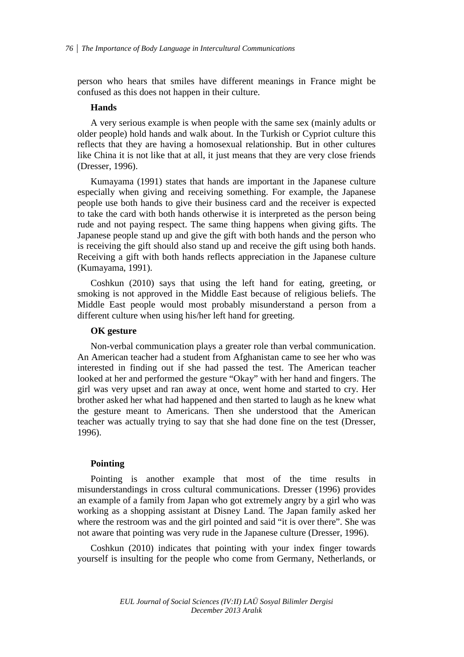person who hears that smiles have different meanings in France might be confused as this does not happen in their culture.

#### **Hands**

A very serious example is when people with the same sex (mainly adults or older people) hold hands and walk about. In the Turkish or Cypriot culture this reflects that they are having a homosexual relationship. But in other cultures like China it is not like that at all, it just means that they are very close friends (Dresser, 1996).

Kumayama (1991) states that hands are important in the Japanese culture especially when giving and receiving something. For example, the Japanese people use both hands to give their business card and the receiver is expected to take the card with both hands otherwise it is interpreted as the person being rude and not paying respect. The same thing happens when giving gifts. The Japanese people stand up and give the gift with both hands and the person who is receiving the gift should also stand up and receive the gift using both hands. Receiving a gift with both hands reflects appreciation in the Japanese culture (Kumayama, 1991).

Coshkun (2010) says that using the left hand for eating, greeting, or smoking is not approved in the Middle East because of religious beliefs. The Middle East people would most probably misunderstand a person from a different culture when using his/her left hand for greeting.

#### **OK gesture**

Non-verbal communication plays a greater role than verbal communication. An American teacher had a student from Afghanistan came to see her who was interested in finding out if she had passed the test. The American teacher looked at her and performed the gesture "Okay" with her hand and fingers. The girl was very upset and ran away at once, went home and started to cry. Her brother asked her what had happened and then started to laugh as he knew what the gesture meant to Americans. Then she understood that the American teacher was actually trying to say that she had done fine on the test (Dresser, 1996).

#### **Pointing**

Pointing is another example that most of the time results in misunderstandings in cross cultural communications. Dresser (1996) provides an example of a family from Japan who got extremely angry by a girl who was working as a shopping assistant at Disney Land. The Japan family asked her where the restroom was and the girl pointed and said "it is over there". She was not aware that pointing was very rude in the Japanese culture (Dresser, 1996).

Coshkun (2010) indicates that pointing with your index finger towards yourself is insulting for the people who come from Germany, Netherlands, or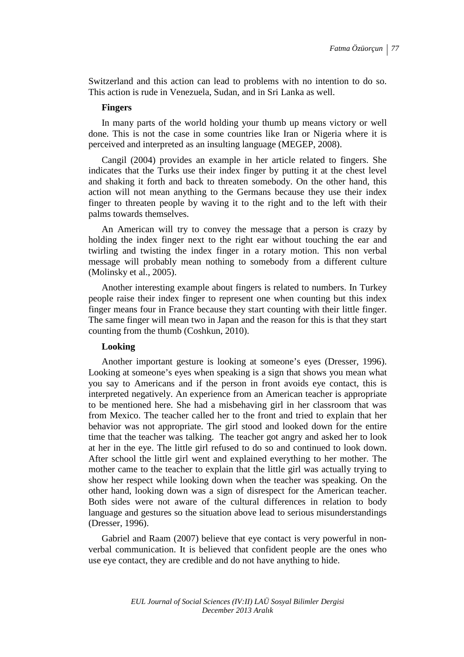Switzerland and this action can lead to problems with no intention to do so. This action is rude in Venezuela, Sudan, and in Sri Lanka as well.

#### **Fingers**

In many parts of the world holding your thumb up means victory or well done. This is not the case in some countries like Iran or Nigeria where it is perceived and interpreted as an insulting language (MEGEP, 2008).

Cangil (2004) provides an example in her article related to fingers. She indicates that the Turks use their index finger by putting it at the chest level and shaking it forth and back to threaten somebody. On the other hand, this action will not mean anything to the Germans because they use their index finger to threaten people by waving it to the right and to the left with their palms towards themselves.

An American will try to convey the message that a person is crazy by holding the index finger next to the right ear without touching the ear and twirling and twisting the index finger in a rotary motion. This non verbal message will probably mean nothing to somebody from a different culture (Molinsky et al., 2005).

Another interesting example about fingers is related to numbers. In Turkey people raise their index finger to represent one when counting but this index finger means four in France because they start counting with their little finger. The same finger will mean two in Japan and the reason for this is that they start counting from the thumb (Coshkun, 2010).

#### **Looking**

Another important gesture is looking at someone's eyes (Dresser, 1996). Looking at someone's eyes when speaking is a sign that shows you mean what you say to Americans and if the person in front avoids eye contact, this is interpreted negatively. An experience from an American teacher is appropriate to be mentioned here. She had a misbehaving girl in her classroom that was from Mexico. The teacher called her to the front and tried to explain that her behavior was not appropriate. The girl stood and looked down for the entire time that the teacher was talking. The teacher got angry and asked her to look at her in the eye. The little girl refused to do so and continued to look down. After school the little girl went and explained everything to her mother. The mother came to the teacher to explain that the little girl was actually trying to show her respect while looking down when the teacher was speaking. On the other hand, looking down was a sign of disrespect for the American teacher. Both sides were not aware of the cultural differences in relation to body language and gestures so the situation above lead to serious misunderstandings (Dresser, 1996).

Gabriel and Raam (2007) believe that eye contact is very powerful in nonverbal communication. It is believed that confident people are the ones who use eye contact, they are credible and do not have anything to hide.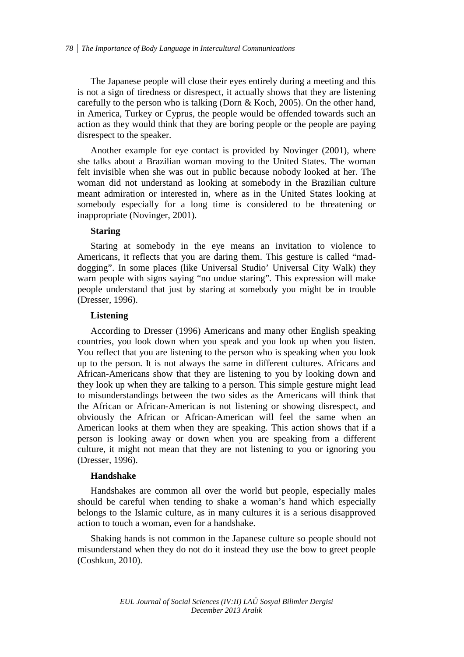The Japanese people will close their eyes entirely during a meeting and this is not a sign of tiredness or disrespect, it actually shows that they are listening carefully to the person who is talking (Dorn & Koch, 2005). On the other hand, in America, Turkey or Cyprus, the people would be offended towards such an action as they would think that they are boring people or the people are paying disrespect to the speaker.

Another example for eye contact is provided by Novinger (2001), where she talks about a Brazilian woman moving to the United States. The woman felt invisible when she was out in public because nobody looked at her. The woman did not understand as looking at somebody in the Brazilian culture meant admiration or interested in, where as in the United States looking at somebody especially for a long time is considered to be threatening or inappropriate (Novinger, 2001).

#### **Staring**

Staring at somebody in the eye means an invitation to violence to Americans, it reflects that you are daring them. This gesture is called "maddogging". In some places (like Universal Studio' Universal City Walk) they warn people with signs saying "no undue staring". This expression will make people understand that just by staring at somebody you might be in trouble (Dresser, 1996).

### **Listening**

According to Dresser (1996) Americans and many other English speaking countries, you look down when you speak and you look up when you listen. You reflect that you are listening to the person who is speaking when you look up to the person. It is not always the same in different cultures. Africans and African-Americans show that they are listening to you by looking down and they look up when they are talking to a person. This simple gesture might lead to misunderstandings between the two sides as the Americans will think that the African or African-American is not listening or showing disrespect, and obviously the African or African-American will feel the same when an American looks at them when they are speaking. This action shows that if a person is looking away or down when you are speaking from a different culture, it might not mean that they are not listening to you or ignoring you (Dresser, 1996).

#### **Handshake**

Handshakes are common all over the world but people, especially males should be careful when tending to shake a woman's hand which especially belongs to the Islamic culture, as in many cultures it is a serious disapproved action to touch a woman, even for a handshake.

Shaking hands is not common in the Japanese culture so people should not misunderstand when they do not do it instead they use the bow to greet people (Coshkun, 2010).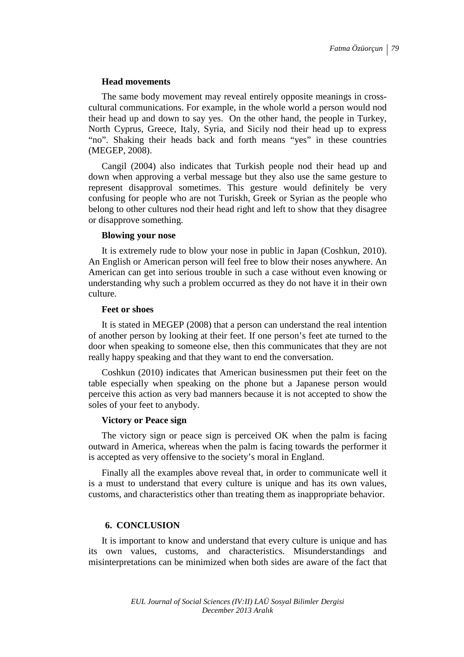#### **Head movements**

The same body movement may reveal entirely opposite meanings in crosscultural communications. For example, in the whole world a person would nod their head up and down to say yes. On the other hand, the people in Turkey, North Cyprus, Greece, Italy, Syria, and Sicily nod their head up to express "no". Shaking their heads back and forth means "yes" in these countries (MEGEP, 2008).

Cangil (2004) also indicates that Turkish people nod their head up and down when approving a verbal message but they also use the same gesture to represent disapproval sometimes. This gesture would definitely be very confusing for people who are not Turiskh, Greek or Syrian as the people who belong to other cultures nod their head right and left to show that they disagree or disapprove something.

#### **Blowing your nose**

It is extremely rude to blow your nose in public in Japan (Coshkun, 2010). An English or American person will feel free to blow their noses anywhere. An American can get into serious trouble in such a case without even knowing or understanding why such a problem occurred as they do not have it in their own culture.

#### **Feet or shoes**

It is stated in MEGEP (2008) that a person can understand the real intention of another person by looking at their feet. If one person's feet ate turned to the door when speaking to someone else, then this communicates that they are not really happy speaking and that they want to end the conversation.

Coshkun (2010) indicates that American businessmen put their feet on the table especially when speaking on the phone but a Japanese person would perceive this action as very bad manners because it is not accepted to show the soles of your feet to anybody.

#### **Victory or Peace sign**

The victory sign or peace sign is perceived OK when the palm is facing outward in America, whereas when the palm is facing towards the performer it is accepted as very offensive to the society's moral in England.

Finally all the examples above reveal that, in order to communicate well it is a must to understand that every culture is unique and has its own values, customs, and characteristics other than treating them as inappropriate behavior.

## **6. CONCLUSION**

It is important to know and understand that every culture is unique and has its own values, customs, and characteristics. Misunderstandings and misinterpretations can be minimized when both sides are aware of the fact that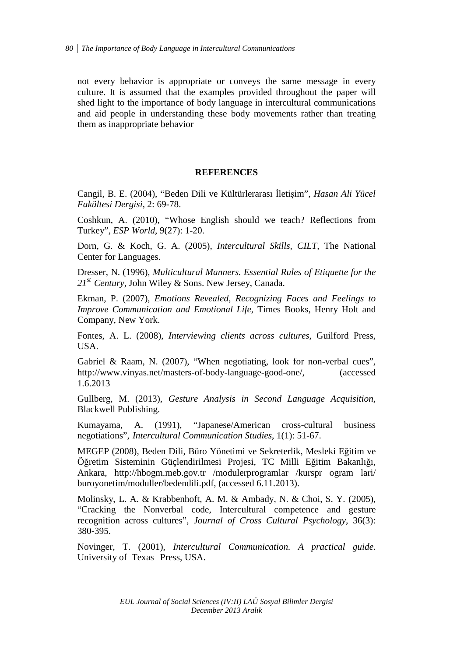not every behavior is appropriate or conveys the same message in every culture. It is assumed that the examples provided throughout the paper will shed light to the importance of body language in intercultural communications and aid people in understanding these body movements rather than treating them as inappropriate behavior

## **REFERENCES**

Cangil, B. E. (2004), "Beden Dili ve Kültürlerarası İletişim", *Hasan Ali Yücel Fakültesi Dergisi*, 2: 69-78.

Coshkun, A. (2010), "Whose English should we teach? Reflections from Turkey", *ESP World*, 9(27): 1-20.

Dorn, G. & Koch, G. A. (2005), *Intercultural Skills, CILT,* The National Center for Languages.

Dresser, N. (1996), *Multicultural Manners. Essential Rules of Etiquette for the 21st Century,* John Wiley & Sons. New Jersey, Canada.

Ekman, P. (2007), *Emotions Revealed, Recognizing Faces and Feelings to Improve Communication and Emotional Life*, Times Books, Henry Holt and Company, New York.

Fontes, A. L. (2008), *Interviewing clients across cultures,* Guilford Press, USA.

Gabriel & Raam, N. (2007), "When negotiating, look for non-verbal cues", http://www.vinyas.net/masters-of-body-language-good-one/, (accessed 1.6.2013

Gullberg, M. (2013), *Gesture Analysis in Second Language Acquisition,* Blackwell Publishing.

Kumayama, A. (1991), "Japanese/American cross-cultural business negotiations", *Intercultural Communication Studies*, 1(1): 51-67.

MEGEP (2008), Beden Dili, Büro Yönetimi ve Sekreterlik, Mesleki Eğitim ve Öğretim Sisteminin Güçlendirilmesi Projesi, TC Milli Eğitim Bakanlığı, Ankara, http://hbogm.meb.gov.tr /modulerprogramlar /kurspr ogram lari/ buroyonetim/moduller/bedendili.pdf, (accessed 6.11.2013).

Molinsky, L. A. & Krabbenhoft, A. M. & Ambady, N. & Choi, S. Y. (2005), "Cracking the Nonverbal code, Intercultural competence and gesture recognition across cultures", *Journal of Cross Cultural Psychology,* 36(3): 380-395.

Novinger, T. (2001), *Intercultural Communication. A practical guide*. University of Texas Press, USA.